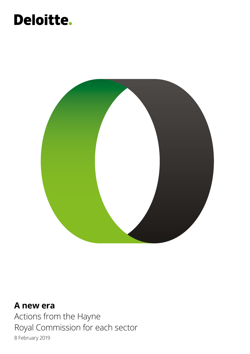## **Deloitte.**



**A new era** Actions from the Hayne Royal Commission for each sector 8 February 2019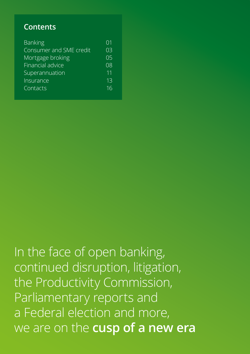### **Contents**

| 01 |
|----|
| 03 |
| 05 |
| 08 |
| 11 |
| 13 |
| 16 |
|    |

In the face of open banking, continued disruption, litigation, the Productivity Commission, Parliamentary reports and a Federal election and more, we are on the **cusp of a new era**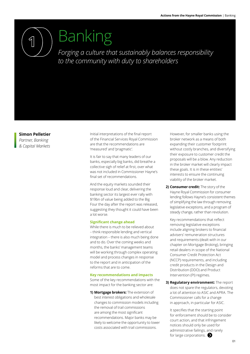<span id="page-2-0"></span>

## Banking

*Forging a culture that sustainably balances responsibility to the community with duty to shareholders*

#### **Simon Pelletier**

*Partner, Banking & Capital Markets* Initial interpretations of the final report of the Financial Services Royal Commission are that the recommendations are 'measured' and 'pragmatic'.

It is fair to say that many leaders of our banks, especially big banks, did breathe a collective sigh of relief at first, over what was not included in Commissioner Hayne's final set of recommendations.

And the equity markets sounded their response loud and clear, delivering the banking sector its largest ever rally with \$19bn of value being added to the Big Four the day after the report was released, suggesting they thought it could have been a lot worse.

#### **Significant change ahead**

While there is much to be relieved about – think responsible lending and vertical integration – there is also much being done and to do. Over the coming weeks and months, the banks' management teams will be working through complex operating model and process changes in response to the report and in anticipation of the reforms that are to come.

#### **Key recommendations and impacts**

Some of the key recommendations with the most impact for the banking sector are:

**1) Mortgage brokers:** The extension of best interest obligations and wholesale changes to commission models including the removal of trail commissions are among the most significant recommendations. Major banks may be likely to welcome the opportunity to lower costs associated with trail commissions.

However, for smaller banks using the broker network as a means of both expanding their customer footprint without costly branches, and diversifying their exposure to customer credit the proposals will be a blow. Any reduction in the broker market will clearly impact these goals. It is in these entities' interests to ensure the continuing viability of the broker market.

**2) Consumer credit:** The story of the Hayne Royal Commission for consumer lending follows Hayne's consistent themes of simplifying the law through removing legislative exceptions, and a program of steady change, rather than revolution.

Key recommendations that reflect removing legislative exceptions include aligning brokers to financial advisers' remuneration structures and requirements (dealt with in our chapter on Mortgage Broking), bringing retail dealers in scope of the National Consumer Credit Protection Act (NCCP) requirements, and including credit products in the Design and Distribution (DDO) and Product Intervention (PI) regimes.

**3) Regulatory environment:** The report does not spare the regulators, devoting a lot of attention to ASIC and APRA. The Commissioner calls for a change in approach, in particular for ASIC.

It specifies that the starting point for enforcement should be to consider court action, and that infringement notices should only be used for administrative failings, and rarely for large corporations.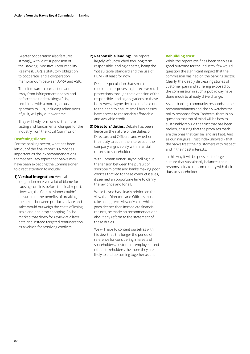Greater cooperation also features strongly, with joint supervision of the Banking Executive Accountability Regime (BEAR), a statutory obligation to cooperate, and a cooperation memorandum between APRA and ASIC.

The tilt towards court action and away from infringement notices and enforceable undertakings (EUs), combined with a more rigorous approach to EUs, including admissions of guilt, will play out over time.

They will likely form one of the more lasting and fundamental changes for the industry from the Royal Commission.

#### **Deafening silence**

For the banking sector, what has been left out of the final report is almost as important as the 76 recommendations themselves. Key topics that banks may have been expecting the Commissioner to direct attention to include:

**1) Vertical integration:** Vertical integration received a lot of blame for causing conflicts before the final report. However, the Commissioner couldn't be sure that the benefits of breaking the nexus between product, advice and sales would outweigh the costs of losing scale and one-stop shopping. So, he marked that down for review at a later date and instead targeted remuneration as a vehicle for resolving conflicts.

**2) Responsible lending:** The report largely left untouched two long term responsible lending debates, being the 'not suitable' standard and the use of HEM – at least for now.

Despite speculation that small to medium enterprises might receive retail protections through the extension of the responsible lending obligations to these borrowers, Hayne declined to do so due to the need to ensure small businesses have access to reasonably affordable and available credit.

**3) Directors' duties:** Debate has been fierce on the nature of the duties of Directors and Officers, and whether their duty to act in the interests of the company aligns solely with financial returns to shareholders.

With Commissioner Hayne calling out the tension between the pursuit of short-term profit and banks making poor choices that led to these conduct issues, it seemed an opportune time to clarify the law once and for all.

While Hayne has clearly reinforced the view that Directors and Officers must take a long-term view of value, which goes deeper than immediate financial returns, he made no recommendations about any reform to the statement of these duties.

We will have to content ourselves with his view that, the longer the period of reference for considering interests of shareholders, customers, employees and other stakeholders, the more they are likely to end up coming together as one.

#### **Rebuilding trust**

While the report itself has been seen as a good outcome for the industry, few would question the significant impact that the commission has had on the banking sector. Clearly, the deeply distressing stories of customer pain and suffering exposed by the commission in such a public way have done much to already drive change.

As our banking community responds to the recommendations and closely watches the policy response from Canberra, there is no question that top of mind will be how to sustainably rebuild the trust that has been broken, ensuring that the promises made are the ones that can be, and are kept. And as our inaugural Trust Index showed – that the banks treat their customers with respect and in their best interests.

In this way it will be possible to forge a culture that sustainably balances their responsibility to the community with their duty to shareholders.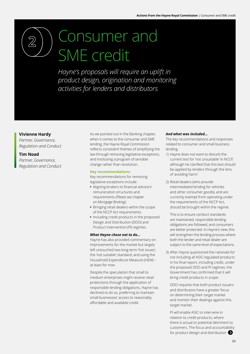# <span id="page-4-0"></span>Consumer and SME credit

*Hayne's proposals will require an uplift in product design, origination and monitoring activities for lenders and distributors*

#### **Vivienne Hardy**

*Partner, Governance, Regulation and Conduct*

#### **Tim Noad**

*Partner, Governance, Regulation and Conduct* As we pointed out in the Banking chapter, when it comes to the consumer and SME lending, the Hayne Royal Commission reflects consistent themes of simplifying the law through removing legislative exceptions, and instituting a program of sensible change rather than revolution.

#### **Key recommendations**

Key recommendations for removing legislative exceptions include:

- **•** Aligning brokers to financial advisors' remuneration structures and requirements *(Please see chapter on Mortgage Broking).*
- **•** Bringing retail dealers within the scope of the NCCP Act requirements.
- **•** Including credit products in the proposed Design and Distribution (DDO) and Product Intervention (PI) regimes.

#### *What Hayne chose not to do…*

Hayne has also provided commentary on improvements for the market but largely left untouched two long-term 'hot issues', the 'not suitable' standard, and using the Household Expenditure Measure (HEM) – at least for now.

Despite the speculation that small to medium enterprises might receive retail protections through the application of responsible lending obligations, Hayne has declined to do so, preferring to maintain small businesses' access to reasonably affordable and available credit.

#### *And what was included…*

The key recommendations and responses related to consumer and small business lending.

- 1) Hayne does not want to disturb the current test for 'not unsuitable' in NCCP, although he clarified that this test should be applied by lenders through the lens of 'avoiding harm'.
- 2) Retail dealers (who provide intermediated lending for vehicles and other consumer goods), and are currently exempt from operating under the requirements of the NCCP Act, should be brought within the regime.

This is to ensure conduct standards are maintained, responsible lending obligations are followed, and consumers are better protected. In Hayne's view, this will strengthen the lending process where both the lender and retail dealer are subject to the same level of expectations.

3) After Hayne questioned the rationale for not including all ASIC-regulated products in his final report, including credit, under the proposed DDO and PI regimes, the Government has confirmed that it will bring credit products in scope.

DDO requires that both product issuers and distributors have a greater focus on determining their target market and monitor their dealings against this target market.

PI will enable ASIC to intervene in relation to credit products, where there is actual or potential detriment to customers. The focus and accountability for product design and distribution  $\bullet$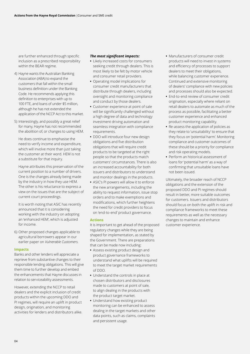are further enhanced through specific inclusion as a prescribed responsibility within the BEAR regime.

- 4) Hayne wants the Australian Banking Association (ABA) to expand the customers that fall within the small business definition under the Banking Code. He recommends applying this definition to enterprises with up to 100 FTE, and loans of under \$5 million, although he has not extended the application of the NCCP Act to this market.
- 5) Interestingly, and possibly a great relief for many, Hayne has not recommended the abolition of, or changes to using HEM.

He does continue to emphasise the need to verify income and expenditure, which will involve more than just taking the customer at their word. HEM is not a substitute for that inquiry.

Hayne attributes this preservation of the current position to a number of drivers. One is the changes already being made by the industry in how they use HEM. The other is his reluctance to express a view on the issues that are the subject of current court proceedings.

It is worth noting that ASIC has recently announced that it is considering working with the industry on adopting an 'enhanced HEM', which is adjusted for income.

6) Other proposed changes applicable to agricultural borrowers appear in our earlier paper on *Vulnerable Customers.*

#### **Impacts**

Banks and other lenders will appreciate a reprieve from substantive changes to their responsible lending obligations. This will give them time to further develop and embed the enhancements that Hayne discusses in relation to serviceability assessments.

However, extending the NCCP to retail dealers and the explicit inclusion of credit products within the upcoming DDO and PI regimes, will require an uplift in product design, origination, and monitoring activities for lenders and distributors alike.

#### *The most significant impacts:*

- **•** Likely increased costs for consumers seeking credit through dealers. This is most likely to be felt by motor vehicle and consumer retail providers.
- **•** Operating model implications for consumer credit manufacturers that distribute through dealers, including oversight and monitoring compliance and conduct by those dealers.
- **•** Customer experience at point of sale will be significantly challenged without a high degree of data and technology investment driving automation and seamless integration with compliance requirements.
- **•** DDO will introduce four new design obligations and five distribution obligations that will require credit products to be targeted at the right people so that the products match customers' circumstances. There is also an increased accountability for both issuers and distributors to understand and monitor dealings in the products.
- **•** ASIC's PI powers will allow it to enforce the new arrangements, including the ability to request information, issue stop orders and to make exemptions and modifications, which further heightens the need for credit providers to focus on 'end-to-end' product governance.

#### **Actions**

It is important to get ahead of the proposed regulatory changes while they are being shaped for implementation, as stated by the Government. There are preparations that can be made now including:

- **•** Assess existing product design and product governance frameworks to understand what uplifts will be required to meet the target market requirements of DDO.
- **•** Understand the controls in place at chosen distributors and disclosures made to customers at point of sale, to align dealing in the products with the product target market.
- **•** Understand how existing product monitoring can be enhanced to assess dealing in the target markets and other data points, such as claims, complaints and persistent usage.
- **•** Manufacturers of consumer credit products will need to invest in systems and efficiency of processes to support dealers to meet their obligations, while balancing customer experience. Continued and extensive monitoring of dealers' compliance with new policies and processes should also be expected.
- **•** End-to-end review of consumer credit origination, especially where reliant on retail dealers to automate as much of the process as possible, facilitating a better customer experience and enhanced product monitoring capability.
- **•** Re-assess the application of policies as they relate to 'unsuitability' to ensure that they focus on 'potential harm'. Monitoring compliance and customer outcomes of these should be a priority for compliance and risk operating models.
- **•** Perform an historical assessment of loans for 'potential harm' as a way of confirming that unsuitable loans have not been issued.

Ultimately, the broader reach of NCCP obligations and the extension of the proposed DDO and PI regimes should result in better, more suitable outcomes for customers. Issuers and distributors should focus on both the uplift in risk and compliance frameworks to meet these requirements as well as the necessary changes to maintain and enhance customer experience.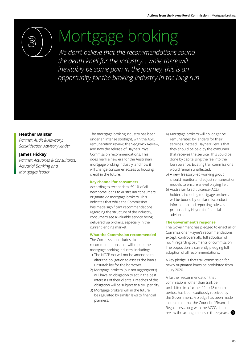<span id="page-6-0"></span>

# Mortgage broking

*We don't believe that the recommendations sound the death knell for the industry… while there will inevitably be some pain in the journey, this is an opportunity for the broking industry in the long run*

#### **Heather Baister**

*Partner, Audit & Advisory, Securitisation Advisory leader*

#### **James Hickey**

*Partner, Actuaries & Consultants, Actuarial Banking and Mortgages leader* 

The mortgage broking industry has been under an intense spotlight, with the ASIC remuneration review, the Sedgwick Review, and now the release of Hayne's Royal Commission recommendations. This does mark a new era for the Australian mortgage broking industry, and how it will change consumer access to housing credit in the future.

#### **Key channel for consumers**

According to recent data, 59.1% of all new home loans to Australian consumers originate via mortgage brokers. This indicates that while the Commission has made significant recommendations regarding the structure of the industry, consumers see a valuable service being delivered via brokers, especially in the current lending market.

#### **What the Commission recommended**

The Commission includes six recommendations that will impact the mortgage broking industry, including:

- 1) The NCCP Act will not be amended to alter the obligation to assess the loan's unsuitability for the borrower.
- 2) Mortgage brokers (but not aggregators) will have an obligation to act in the best interests of their clients. Breaches of this obligation will be subject to a civil penalty.
- 3) Mortgage brokers will, in the future, be regulated by similar laws to financial planners.
- 4) Mortgage brokers will no longer be remunerated by lenders for their services. Instead, Hayne's view is that they should be paid by the consumer that receives the service. This could be done by capitalising the fee into the loan balance. Existing trail commissions would remain unaffected.
- 5) A new Treasury-led working group should monitor and adjust remuneration models to ensure a level playing field.
- 6) Australian Credit Licence (ACL) holders, including mortgage brokers, will be bound by similar misconduct information and reporting rules as proposed by Hayne for financial advisers.

#### **The Government's response**

The Government has pledged to enact all of Commissioner Hayne's recommendations except, controversially, full adoption of no. 4, regarding payments of commission. The opposition is currently pledging full adoption of all recommendations.

A key pledge is that trail commission for newly originated loans be prohibited from 1 July 2020.

A further recommendation that commissions, other than trail, be prohibited in a further 12 to 18 month period, has been cautiously received by the Government. A pledge has been made instead that that the Council of Financial Regulators, along with the ACCC, should review the arrangements in three years.  $\bullet$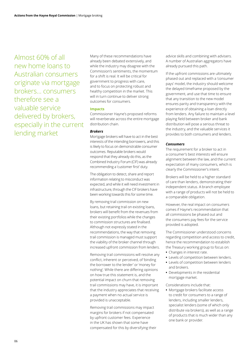Almost 60% of all new home loans to Australian consumers originate via mortgage brokers… consumers therefore see a valuable service delivered by brokers, especially in the current lending market

Many of these recommendations have already been debated extensively, and while the industry may disagree with the Commission's sentiments, the momentum for a shift is real. It will be critical for government to progress with care, and to focus on protecting robust and healthy competition in the market. This will in turn continue to deliver strong outcomes for consumers.

#### **Impacts**

Commissioner Hayne's proposed reforms will reverberate across the entire mortgage distribution chain.

#### *Brokers*

Mortgage brokers will have to act in the best interests of the intending borrowers, and this is likely to focus on demonstrable consumer outcomes. Reputable brokers would respond that they already do this, as the Combined Industry Forum (CIF) was already recommending a 'customer first' duty.

The obligation to detect, share and report information relating to misconduct was expected, and while it will need investment in infrastructure, through the CIF brokers have been working towards this for some time.

By removing trail commission on new loans, but retaining trail on existing loans, brokers will benefit from the revenues from their existing portfolios while the changes to commission structures are finalised. Although not expressly stated in the recommendations, the way that removing trail commission is managed must support the viability of the broker channel through increased upfront commission from lenders.

Removing trail commissions will resolve any conflict, inherent or perceived, of 'binding the borrower to the lender' or 'money for nothing'. While there are differing opinions on how true this statement is, and the potential impact on churn that removing trail commissions may have, it is important that the industry appreciates that receiving a payment when no actual service is provided is unacceptable.

Removing trail commissions may impact margins for brokers if not compensated by upfront customer fees. Experience in the UK has shown that some have compensated for this by diversifying their advice skills and combining with advisers. A number of Australian aggregators have already pursued this path.

If the upfront commissions are ultimately phased out and replaced with a 'consumer pays' model, the industry should welcome the delayed timeframe proposed by the government, and use that time to ensure that any transition to the new model ensures parity and transparency with the experience of obtaining a loan directly from lenders. Any failure to maintain a level playing field between broker and bank distribution will pose a serious threat to the industry, and the valuable services it provides to both consumers and lenders.

#### *Consumers*

The requirement for a broker to act in a consumer's best interests will ensure alignment between the law, and the current expectation of many consumers, which is clearly the Commissioner's intent.

Brokers will be held to a higher standard of care than lenders, demonstrating their independent status. A branch employee with a range of products will not be held to a comparable obligation.

However, the real impact on consumers comes if Hayne's recommendation that all commissions be phased out and the consumers pay fees for the service provided is adopted.

The Commissioner understood concerns regarding competition and access to credit, hence the recommendation to establish the Treasury working group to focus on: **•** Changes in interest rate.

- 
- **•** Levels of competition between lenders. **•** Levels of competition between lenders
- and brokers.
- **•** Developments in the residential mortgage market.

Considerations include that:

**•** Mortgage brokers facilitate access to credit for consumers to a range of lenders, including smaller lenders, specialist lenders (some of which only distribute via brokers), as well as a range of products that is much wider than any one bank or provider.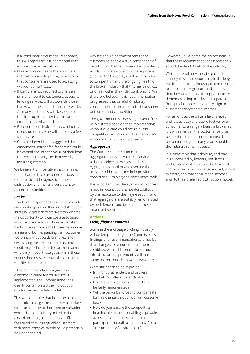- **•** If a 'consumer pays' model is adopted, this will represent a fundamental shift in consumer expectations.
- **•** Human nature means there will be a natural aversion to paying for a service that consumers are used to accessing without upfront cost.
- **•** If banks are not required to charge a similar amount to customers, access to lending services will tilt towards those banks with the largest branch networks. As many customers will likely default to the 'free' option rather than incur the cost associated with a broker.
- **•** Recent reports indicate only a minority of customers may be willing to pay a fee for service.
- **•** Commissioner Hayne suggested the customer's upfront fee for service could be capitalised into the value of their loan, thereby increasing the debt owed (and incurring interest).

We believe it is imperative that if a fee is to be charged to a customer for housing credit advice, it be agnostic to the distribution channel and consistent to protect competition.

#### *Banks*

How banks respond to these recommendations will depend on their own distribution strategy. Major banks are likely to welcome the opportunity to lower costs associated with trail commissions. However, smaller banks often embrace the broker network as a means of both expanding their customer footprint without costly branches, and diversifying their exposure to customer credit. Any reduction in the broker market will clearly impact these goals. It is in these entities' interests to ensure the continuing viability of the broker market.

If the recommendation regarding a customer-funded fee for service is implemented, the Commissioner has clearly contemplated the introduction of a Netherlands-style model.

This would require that both the bank and the broker charge the customer a similarly structured fee (whether fixed or variable), which should be clearly linked to the cost of arranging the home loan. Fixed fees need care, as arguably customers with more complex needs could potentially be under-served.

Any fee should be transparent to the customer to enable a true comparison of distribution channels. Given the complexity and lack of clarity over mortgage pricing (see the ACCC report), it will be imperative to competition and the ongoing health of the broker industry that this fee is not lost or offset within the wider bank pricing. We therefore believe, if this recommendation progresses, that careful X-industry consultation is critical to protect consumer outcomes and competition.

The government is clearly cognisant of this, with a stated position that implementing without due care could result in less competition and choice in the market. We welcome this cautious approach.

#### *Aggregators*

The Commissioner recommends aggregators provide valuable services to both brokers as well as lenders. Aggregators monitor and oversee the activities of brokers, and help provide consistency, training and compliance tools.

It is important that the significant progress made in recent years is not destabilised by the response to the Hayne report, and that aggregators are suitably remunerated by both lenders and brokers for these important services.

#### **Actions** *Fight, flight or embrace?*

Some in the mortgage broking industry will be tempted to fight the Commission's findings and recommendations. It may be that changes to remuneration structures, combined with additional process and infrastructure requirements, will make some brokers decide to work elsewhere.

What still needs to be explored:

- **•** Is it right that lenders and brokers are held to different standards?
- **•** If trail is removed, how can brokers be fairly remunerated?
- **•** Will the banks be forced to compensate for this change through upfront customer fees?
- **•** How do you ensure the competitive health of the market, enabling equitable access for consumers across all market participants, in both a 'lender pays' or a 'consumer pays' environment?

However, unlike some, we do not believe that these recommendations necessarily sound the death knell for the industry.

While there will inevitably be pain in the journey, this is an opportunity in the long run for the broking industry to demonstrate to consumers, regulators and lenders that they will embrace the opportunity to demonstrate impartiality and separation from product providers to fully align to customer service and outcomes.

For as long as the playing field is level, and it is as easy and cost effective for a consumer to arrange a loan via broker as it is with a lender, the customer service proposition that has underpinned the broker industry for many years should see the industry remain robust.

It is imperative that it does so, and that it is supported by lenders, regulators and government to ensure the health of competition in the mortgage market, access to credit, and that consumer outcomes align to their preferred distribution model.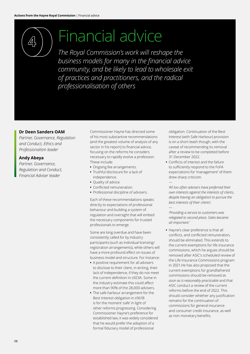## <span id="page-9-0"></span>Financial advice

*The Royal Commission's work will reshape the business models for many in the financial advice community, and be likely to lead to wholesale exit of practices and practitioners, and the radical professionalisation of others*

#### **Dr Deen Sanders OAM**

*Partner, Governance, Regulation and Conduct, Ethics and Professionalism leader*

#### **Andy Abeya**

*Partner, Governance, Regulation and Conduct, Financial Adviser leader*

Commissioner Hayne has directed some of his most substantive recommendations (and the greatest volume of analysis of any sector in his report) to financial advice, focusing on the reforms he considers necessary to rapidly evolve a profession. These include:

- **•** Ongoing fee arrangements.
- **•** Truthful disclosure for a lack of independence.
- **•** Quality of advice.
- **•** Conflicted remuneration.
- **•** Professional discipline of advisers.

Each of these recommendations speaks directly to expectations of professional behaviour and building a system of regulation and oversight that will embed the necessary components for trusted professionals to emerge.

Some are long overdue and have been consistently called for by industry participants (such as individual licensing/ registration arrangements), while others will have a more profound effect on issues of business model and structure. For instance:

- **•** A positive requirement for all advisers to disclose to their client, in writing, their lack of independence, if they do not meet the current definition in s923A. Some in the industry estimate this could affect more than 90% of the 28,000 advisers.
- **•** The safe harbour arrangement for the Best Interest obligation in s961B is for the moment 'safe' in light of other reforms progressing. Considering Commissioner Hayne's preference for established law, it was widely considered that he would prefer the adoption of a formal fiduciary model of professional

obligation. Continuation of the Best Interest (with Safe Harbour) provision is on a short leash though, with the caveat of recommending its removal after a review to be completed before 31 December 2022.

**•** Conflicts of interest and the failure to sufficiently respond to the FoFA expectations for 'management' of them drew sharp criticism.

—

*—*

*'All too often advisers have preferred their own interests against the interests of clients, despite having an obligation to pursue the best interests of their clients'.*

*'Providing a service to customers was relegated to second place. Sales became all important.'*

**•** Hayne's clear preference is that all conflicts, and conflicted remuneration, should be eliminated. This extends to the current exemptions for life insurance commissions, which he argues should be removed after ASIC's scheduled review of the Life Insurance Commissions program in 2021.He has also proposed that the current exemptions for grandfathered commissions should be removed *as soon as is reasonably practicable* and that ASIC conduct a review of the current reforms before the end of 2022. This should consider whether any justification remains for the continuation of commissions for general insurance and consumer credit insurance, as well as non-monetary benefits.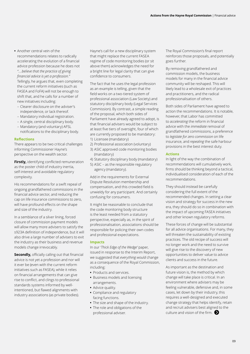- **•** Another central vein of the recommendations relates to radically accelerating the evolution of a financial advice profession because he does not *"….believe that the practice of giving financial advice is yet a profession."*  Tellingly, he argues that, even completing the current reform initiatives (such as FASEA and FoFA) will not be enough to shift that, and he calls for a number of new initiatives including:
	- Clearer disclosure on the adviser's independence, or lack thereof.
	- Mandatory individual registration.
	- A single, central disciplinary body.
- Mandatory (and voluntary) AFSL notifications to the disciplinary body.

#### **Reflections**

There appears to be two critical challenges informing Commissioner Hayne's perspective on the wealth sector.

**Firstly,** identifying conflicted remuneration as the poster child of industry inertia, self-interest and avoidable regulatory complexity.

His recommendations for a swift repeal of ongoing grandfathered commissions in the financial advice sector, and reducing the cap on life insurance commissions to zero, will have profound effects on the shape and size of the industry.

In a semblance of a silver lining, forced closure of commission payment models will allow many more advisers to satisfy the s923A definition of independence, but it will also drive a large number of advisers to exit the industry as their business and revenue models change irrevocably.

**Secondly,** officially calling out that financial advice is not yet a profession and nor will it ever be (even with the current reform initiatives such as FASEA), while it relies on financial arrangements that can give rise to conflict, and clings to professional standards systems informed by wellintentioned, but flawed alignments with industry associations (as private bodies).

Hayne's call for a new disciplinary system that might replace the current FASEA regime of code monitoring bodies (or sit above them) acknowledges the need for a bright line for legal clarity that can give confidence to consumers.

The fact that he uses the legal profession as an example is telling, given that the field works on a two-tiered system of professional association (Law Society) and statutory disciplinary body (Legal Services Commission). By contrast, a simple reading of the proposal, which both sides of Parliament have already agreed to adopt, is that financial advisers would be subject to at least five tiers of oversight, four of which are currently proposed to be mandatory: 1) Licensee (mandatory)

- 2) Professional association (voluntary)
- 3) ASIC approved code monitoring bodies (mandatory)
- 4) Statutory disciplinary body (mandatory)
- 5) ASIC as the responsible regulatory agency (mandatory).

Add in the requirements for External Dispute Resolution membership and compensation, and this crowded field is unwieldy for any participant. And certainly confusing for consumers.

It might be reasonable to conclude that the code monitoring body structure is the least needed from a statutory perspective, especially as, in the spirit of professionalisation, associations should be responsible for policing their own codes and professional expectations.

#### **Impacts**

In our *['Thick Edge of the Wedge'](https://www2.deloitte.com/au/en/pages/financial-services/articles/thick-edge-wedge.html)* paper, issued in response to the Interim Report, we suggested that *everything would* change as a consequence of the Royal Commission, including:

- **•** Products and services.
- **•** Business models and licensing arrangements.
- **•** Advice quality.
- **•** Compliance and regulatory facing functions.
- **•** The size and shape of the industry.
- **•** The role and obligations of the professional adviser.

The Royal Commission's final report reinforces those proposals, and potentially goes further.

By removing grandfathered and commission models, the business models for many in the financial advice community will be reshaped. This will likely lead to a wholesale exit of practices and practitioners, and the radical professionalisation of others.

Both sides of Parliament have agreed to action the recommendations. It is notable, however, that Labor has committed to *accelerating* the reform in financial advice with the *immediate* removal of grandfathered commissions, a preference to *legislate for zero commission* on life insurance, and *repealing* the safe harbour provisions in the best interest duty.

#### **Actions**

In light of the way the combination of recommendations will cumulatively work, firms should be thinking beyond a tactical, individualised consideration of each of the recommendations.

They should instead be carefully considering the full extent of the recommended changes. In setting a clear vision and strategy for success in the new era, they should do so in combination with the impact of upcoming FASEA initiatives and other known regulatory reforms.

These forces of change will be substantial for all advice organisations. For many, they will threaten the sustainability of existing practices. The old recipe of success will no longer work and the need to survive will give rise to the discovery of new opportunities to deliver value to advice clients and success in the future.

As important as the destination and future vision is, the method by which change will take place is critical. In an environment where advisers may be feeling vulnerable, defensive and, in some cases, let down by their industry, this requires a well-designed and executed change strategy that helps identify, retain and recruit advisers best aligned to the culture and vision of the firm.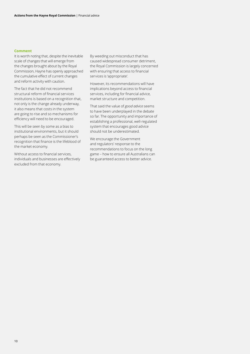#### **Comment**

It is worth noting that, despite the inevitable scale of changes that will emerge from the changes brought about by the Royal Commission, Hayne has openly approached the cumulative effect of current changes and reform activity with caution.

The fact that he did not recommend structural reform of financial services institutions is based on a recognition that, not only is the change already underway, it also means that costs in the system are going to rise and so mechanisms for efficiency will need to be encouraged.

This will be seen by some as a bias to institutional environments, but it should perhaps be seen as the Commissioner's recognition that finance is the lifeblood of the market economy.

Without access to financial services, individuals and businesses are effectively excluded from that economy.

By weeding out misconduct that has caused widespread consumer detriment, the Royal Commission is largely concerned with ensuring that access to financial services is 'appropriate'.

However, its recommendations will have implications beyond access to financial services, including for financial advice, market structure and competition.

That said the value of *good advice* seems to have been underplayed in the debate so far. The opportunity and importance of establishing a professional, well-regulated system that encourages good advice should not be underestimated.

We encourage the Government and regulators' response to the recommendations to focus on the long game – how to ensure all Australians can be guaranteed access to better advice.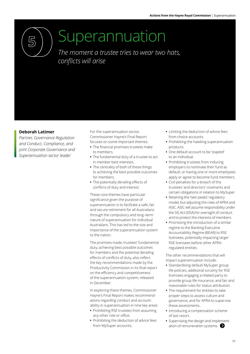<span id="page-12-0"></span>

### Superannuation

*The moment a trustee tries to wear two hats, conflicts will arise*

#### **Deborah Latimer**

*Partner, Governance Regulation and Conduct, Compliance, and joint Corporate Governance and Superannuation sector leader*

For the superannuation sector, Commissioner Hayne's Final Report focuses on some important themes:

- **•** The financial promises trustees make to members.
- **•** The fundamental duty of a trustee to act in member best interests.
- **•** The centrality of both of these things to achieving the best possible outcomes for members.
- **•** The potentially derailing effects of conflicts of duty and interest.

These core themes have particular significance given the purpose of superannuation is to facilitate a safe, fair and secure retirement for all Australians through the compulsory and long–term nature of superannuation for individual Australians. This has led to the size and importance of the superannuation system to the nation.

The promises made, trustees' fundamental duty, achieving best possible outcomes for members and the potential derailing effects of conflicts of duty, also reflect the key recommendations made by the Productivity Commission in its final report on the efficiency and competitiveness of the superannuation system, released in December.

In exploring these themes, Commissioner Hayne's Final Report makes recommendations regarding conduct and accountability in superannuation in nine key areas:

- **•** Prohibiting RSE trustees from assuming any other role or office.
- **•** Prohibiting the deduction of advice fees from MySuper accounts.
- **•** Limiting the deduction of advice fees from choice accounts.
- **•** Prohibiting the hawking superannuation products.
- **•** One default account to be 'stapled' to an individual.
- **•** Prohibiting trustees from inducing employers to nominate their fund as default, or having one or more employees apply or agree to become fund members.
- **•** Civil penalties for a breach of the trustees' and directors' covenants and certain obligations in relation to MySuper.
- **•** Retaining the 'twin peaks' regulatory model, but adjusting the roles of APRA and ASIC. ASIC will assume responsibility under the SIS Act (SISA) for oversight of conduct and to protect the interests of members.
- **•** Prioritising the introduction of a similar regime to the Banking Executive Accountability Regime (BEAR) to RSE licensees, potentially impacting larger RSE licensees before other APRAregulated entities.

The other recommendations that will impact superannuation include:

- **•** Standardising default MySuper group life policies, additional scrutiny for RSE licensees engaging a related party to provide group life insurance, and fair and reasonable rules for status attribution.
- **•** The requirement for entities to take proper steps to assess culture and governance, and for APRA to supervise these assessments.
- **•** Introducing a compensation scheme of last resort.
- **•** Supervising the design and implementation of remuneration systems.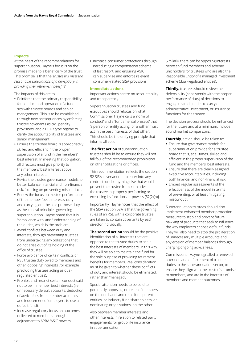#### **Impacts**

At the heart of the recommendations for superannuation, Hayne's focus is on the promise made to a beneficiary of the trust. This promise is that the *'trustee will meet the reasonable expectations of a beneficiary in providing their retirement benefits'.* 

The impacts of this are to:

- **•** Reinforce that the primary responsibility for conduct and operation of a fund sits with trustee boards and senior management. This is to be established through new consequences by enforcing trustee covenants as civil penalty provisions, and a BEAR type regime to clarify the accountability of trustees and senior management.
- **•** Ensure the trustee board is appropriately skilled and efficient in the proper supervision of a fund in the members' best interest. In meeting that obligation, all directors must give priority to the members' best interest above any other interest.
- **•** Revise the trustee governance models to better balance financial and non-financial risk, focusing on preventing misconduct.
- **•** Renew the focus on trustee performance of the member 'best interests' duty and carrying out the sole purpose duty as the central principles governing superannuation. Hayne noted that it is 'compliance with' and 'understanding of' the duties, which is the problem.
- **•** Avoid conflicts between duty and interests, through preventing trustees from undertaking any obligations that do not arise out of its holding of the office of trustee.
- **•** Force avoidance of certain conflicts of RSE trustee duty owed to members and other 'opposing' interests (for example precluding trustees acting as dualregulated entities).
- **•** Prohibit and restrict certain conduct said not to be in member best interests (i.e. unnecessary default accounts, deduction of advice fees from member accounts, and inducement of employers to use a default fund).
- **•** Increase regulatory focus on outcomes delivered to members through adjustment to APRA/ASIC powers.

**•** Increase consumer protections through introducing a compensation scheme of last resort, and ensuring ASIC can supervise and enforce relevant consumer-related SISA provisions.

#### **Immediate actions**

Important actions centre on accountability and transparency.

Superannuation trustees and fund executives should refocus on what Commissioner Hayne calls a 'norm of conduct' and a 'fundamental precept' that 'a person or entity acting for another must act in the best interests of that other'. This should be the unifying principle that informs all action.

**The first action** of superannuation trustees should be to ensure they will not fall foul of the recommended prohibition on other obligations or offices.

This recommendation reflects the section 52 SISA covenant not to enter into any contract, or do anything else that would prevent the trustee from, or hinder the trustee in, properly performing or exercising its functions or powers [52(2)(h)].

Importantly, Hayne notes that the effect of the SISA section 52A is that the governing rules of an RSE with a corporate trustee are taken to contain covenants by each director individually.

**The second action** should be the positive identification of all interests that are opposed to the trustee duties to act in the best interests of members. In this way, they will be able to maintain the fund for the sole purpose of providing retirement benefits for members. Real consideration must be given to whether these conflicts of duty and interest should be eliminated, rather than 'managed'.

Special attention needs to be paid to potentially opposing interests of members on the one hand, and retail fund parent entities, or industry fund shareholders, or nominating organisations, on the other.

Also between member interests and other interests in relation to related party engagements for group life insurance in superannuation.

Similarly, there can be opposing interests between fund members and scheme unit holders for trustees who are also the Responsible Entity of a managed investment scheme (dual-regulated entities).

**Thirdly,** trustees should review the defensibility (consistently with the proper performance of duty) of decisions to engage related entities to carry out administrative, investment, or insurance functions for the trustee.

The decision process should be enhanced for the future and at a minimum, include sound market comparisons.

**Fourthly**, action should be taken to:

- **•** Ensure that governance models for superannuation provide for a trustee board that is, at all times, skilled and efficient in the proper supervision of the fund and the members' best interests.
- **•** Ensure that there are clearly assigned executive accountabilities, including both financial and non-financial risk.
- **•** Embed regular assessments of the effectiveness of the model in terms of preventing, or at least mitigating, misconduct.

Superannuation trustees should also implement enhanced member protection measures to stop and prevent future hawking of products that seek to influence the way employers choose default funds. They will also need to stop the proliferation of unnecessary multiple accounts and any erosion of member balances through charging ongoing advice fees.

Commissioner Hayne signalled a renewed attention and enforcement of trustee duties to the superannuation sector, to ensure they align with the trustee's promise to members, and are in the interests of members and member outcomes.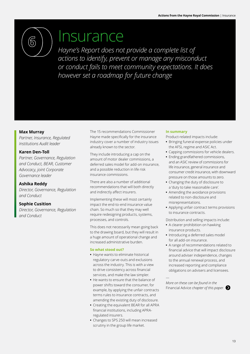<span id="page-14-0"></span>

### Insurance

*Hayne's Report does not provide a complete list of actions to identify, prevent or manage any misconduct or conduct fails to meet community expectations. It does however set a roadmap for future change*

#### **Max Murray**

*Partner, Insurance, Regulated Institutions Audit leader*

#### **Karen Den-Toll**

*Partner, Governance, Regulation and Conduct, BEAR, Customer Advocacy, joint Corporate Governance leader*

#### **Ashika Reddy**

*Director, Governance, Regulation and Conduct*

#### **Sophie Cusition**

*Director, Governance, Regulation and Conduct*

The 15 recommendations Commissioner Hayne made specifically for the insurance industry cover a number of industry issues already known to the sector.

They include introducing a cap on the amount of motor dealer commissions, a deferred sales model for add-on insurance, and a possible reduction in life risk insurance commissions.

There are also a number of additional recommendations that will both directly and indirectly affect insurers.

Implementing these will most certainly impact the end-to-end insurance value chain. So much so that they may well require redesigning products, systems, processes, and controls.

This does not necessarily mean going back to the drawing board, but they will result in a huge amount of operational change and increased administrative burden.

#### **So what stood out?**

- **•** Hayne wants to eliminate historical regulatory carve-outs and exclusions across the industry. This is with a view to drive consistency across financial services, and make the law simpler.
- **•** He wants to ensure that the balance of power shifts toward the consumer, for example, by applying the unfair contracts terms rules to insurance contracts, and amending the existing duty of disclosure.
- **•** Creating the equivalent BEAR for all APRA financial institutions, including APRAregulated insurers.
- **•** Changes to SPS 250 will mean increased scrutiny in the group life market.

#### **In summary**

Product-related impacts include:

- **•** Bringing funeral expense policies under the AFSL regime and ASIC Act.
- **•** Capping commissions for vehicle dealers.
- **•** Ending grandfathered commissions, and an ASIC review of commissions for life insurance, general insurance and consumer credit insurance, with downward pressure on those amounts to zero.
- **•** Changing the duty of disclosure to a 'duty to take reasonable care'.
- **•** Amending the avoidance provisions related to non-disclosure and misrepresentations.
- **•** Applying unfair contract terms provisions to insurance contracts.

Distribution and selling impacts include:

- **•** A clearer prohibition on hawking insurance products.
- **•** Introducing a deferred sales model for all add-on insurance.
- **•** A range of recommendations related to financial advice that will impact disclosure around adviser independence, changes to the annual renewal process, and increased reporting and compliance obligations on advisers and licensees.

*More on these can be found in the*  Financial Advice *chapter of this paper.* 

—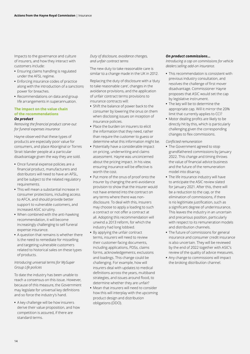Impacts to the governance and culture of insurers, and how they interact with customers include:

- **•** Ensuring claims handling is regulated under the AFSL regime.
- **•** Enforcing insurance codes of practice along with the introduction of a sanctions power for breaches.
- **•** Recommendations on data and group life arrangements in superannuation.

#### **The impact on the value chain of the recommendations** *On product*

*Removing the financial product carve-out for funeral expenses insurance*

Hayne observed that these types of products are especially poor value for consumers, and place Aboriginal or Torres Strait Islander people at a particular disadvantage given the way they are sold.

- **•** Once funeral expense policies are a financial product, manufacturers and distributors will need to have an AFSL, and be subject to the related regulatory requirements.
- **•** This will mean a substantial increase in consumer protections, including access to AFCA, and should provide better support to vulnerable customers, and increased ASIC scrutiny.
- **•** When combined with the anti-hawking recommendation, it will become increasingly challenging to sell funeral expense insurance.
- **•** A question that remains is whether there is the need to remediate for misselling and targeting vulnerable customers related to historical sales on these types of products.

#### *Introducing universal terms for MySuper Group Life policies*

To date the industry has been unable to reach a consensus on this issue. However, because of this measure, the Government may legislate for universal key definitions and so force the industry's hand.

**•** A key challenge will be how insurers derive their value proposition, and how competition is assured, if there are standard terms.

#### *Duty of disclosure, avoidance changes, and unfair contract terms*

The new duty to take reasonable care is similar to a change made in the UK in 2012.

Replacing the duty of disclosure with a 'duty to take reasonable care', changes in the avoidance provisions, and the application of unfair contract terms provisions to insurance contracts will:

- **•** Shift the balance of power back to the consumer by lowering the onus on them when disclosing issues on inception of insurance policies.
- **•** Place the burden on insurers to elicit the information that they need, rather than require the customer to guess or determine what this information might be.
- **•** Potentially have a considerable impact on pricing, underwriting and claims assessment. Hayne was unconcerned about the pricing impact. In his view, ensuring insurance will be effective is worth the cost.
- **•** Put more of the onus of proof onto the insurer by changing the anti-avoidance provision to show that the insurer would not have entered into the contract on any terms where there was nondisclosure. To deal with this, insurers may choose to apply a loading to such a contract or not offer a contract at all. Adopting this recommendation will unwind a 2013 reform, for which the industry had long lobbied.
- **•** By applying the unfair contract terms, insurers will need to review their customer-facing documents, including applications, PDSs, claims forms, acknowledgements, exclusions and loadings. This change could be challenging. For example, how will insurers deal with updates to medical definitions across the years, multiband strategies, and issues around flood, to determine whether they are unfair?
- **•** Mean that insurers will need to consider how this will interplay with the upcoming product design and distribution obligations (DDO).

#### *On product commissions…*

*Introducing a cap on commissions for vehicle dealers selling add-on insurance.*

- **•** This recommendation is consistent with previous industry consultation, and resolves the challenge of first mover disadvantage. Commissioner Hayne proposes that ASIC would set the cap by legislative instrument.
- **•** The key will be to determine the appropriate cap. Will it mirror the 20% limit that currently applies to CCI?
- **•** Motor dealing profits are likely to be directly hit by this, which is particularly challenging given the corresponding changes to flex commissions.
- *Conflicted remuneration*
- **•** The Government agreed to stop grandfathered commissions by January 2022. This change and timing throws the value of financial advice business and the future of the remuneration model into disarray.
- **•** The life insurance industry will have to anticipate the ASIC review slated for January 2021. After this, there will be a reduction to the cap, or the elimination of commissions, if there is no legitimate justification, such as a significant degree of underinsurance. This leaves the industry in an uncertain and precarious position, particularly with respect to its remuneration models and distribution channels.
- **•** The future of commissions for general insurance and consumer credit insurance is also uncertain. They will be reviewed by the end of 2022 together with ASIC's review of the quality of advice measures.
- **•** Any change to commissions will impact the broking distribution channel.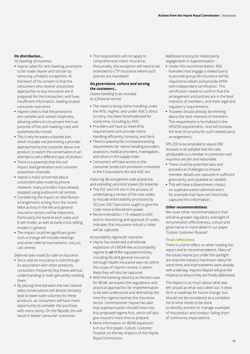#### *On distribution…*

*No hawking of insurance*

- **•** Hayne called for anti-hawking provisions to be made clearer and stricter by removing unhelpful exceptions. At the heart of his concern is that the consumers who receive unsolicited approaches to buy insurance are ill prepared for the transaction, and have insufficient information, leading to poor consumer outcomes.
- **•** Hayne's view is that the provisions are complex and contain loopholes, allowing sellers to circumvent the true purpose of the anti-hawking rules and systematically missell.
- **•** This is why he wants a blanket ban, which includes not permitting a provider approached by the customer about one product, to switch the conversation in an attempt to sell a different type of product.
- **•** There is a potential that this will impact lead generation and customer acquisition channels.
- **•** Hayne is most concerned about unsolicited sales made by phone. However, many providers have already stopped using outbound call centres.
- **•** Considering the impact on distribution arrangements arising from the recent M&A activity in the life and general insurance sectors will be important. Particularly the bank branch sales and X-sell model, as well as bank cross-selling models in general.
- **•** The impact could be significant given such a change will include meetings and other referral mechanisms, not just call centres.

#### *Deferred sales model for add-on insurance*

- **•** Since add-on insurance is sold through its association with other products, consumers frequently buy these without understanding or even genuinely needing them.
- **•** By placing time between the two related sales conversations will almost certainly lead to lower sales volumes for these products, as consumers will have more opportunity to consider the purchase with more clarity. On the flipside, this will result in better consumer outcomes.

**•** This requirement will not apply to comprehensive motor insurance. Presumably, this exception will need to be extended to CTP insurance where such policies are mandated.

#### *On governance, culture and serving the customers…*

*Claims handling to be included as a financial service*

- **•** The need to bring claims handling under the AFSL regime, and under ASIC's direct scrutiny, has been foreshadowed for some time, including by ASIC.
- **•** Providers will have to meet AFSL requirements and provide claims handling efficiently, honestly, and fairly.
- **•** There is potential for increased licensing requirements for claims handling providers, assessors, medical providers, investigators, and others in the supply chain.
- **•** Consumers will have access to the consumer protection provisions contained in the Corporations Act and ASIC Act.

#### *Enforcing life and general code of practice, and extending sanctions' powers for breaches.*

- **•** The FSC and ICA are in the process of undertaking a review of the new codes to include enforceability provisions by 30 June 2021.Sanctions ought to give the Code more enforcement power.
- **•** Recommendation 1.15 related to ASIC and its monitoring and approval of codes, indicates that insurance industry codes will be captured.

*Accountability regime for insurance*

- **•** Hayne has endorsed a wholesale expansion of a BEAR-like accountability regime to *all* APRA regulated entities, including life and general insurance. Although health insurance was not within the scope of Hayne's review, it seems likely they will also be captured.
- **•** With the banking industry as the test case for BEAR, we expect the regulations and practical approaches for implementation to be well understood and defined by the time the regime reaches the insurance sector. Commissioner Hayne has said that superannuation should move into this proposed regime first, which will also give insurers more time to prepare.
- **•** More information on BEAR expansion is in our first paper, *Culture, Customer, Purpose*, on the key impacts of the Hayne Royal Commission.

#### *Additional scrutiny for related party engagements in Superannuation*

- **•** Under this recommendation, RSE licensees that engage a related party to provide group life insurance will be required to obtain and provide APRA with independent certification. This certification needs to confirm that the arrangement and policies are in the best interests of members, and meet legal and regulatory requirements.
- **•** Trustees should already be thinking about the best interests of members. This requirement is formalised in the SPS250 requirements. And will increase the level of scrutiny for such related party arrangements.

#### *SPS 250 to be amended to require RSE licensees to be satisfied that the rules attributable to a member in connection with insurance are fair and reasonable.*

- **•** There could be potential data and procedural challenges to ensure member details are captured in sufficient granularity, and updated as needed.
- **•** This will have a downstream impact on superannuation administrators for example that have not historically captured this information.

#### *Other recommendations*

We cover other recommendations that will drive greater regulatory oversight of remuneration effectiveness, culture and governance in more detail in our paper *'Culture, Customer, Purpose'.*

#### **Final reflections**

There is a lot to reflect on when reading the report and its recommendations. Many of the issues Hayne put under the spotlight are ones the industry has known about for some time, and improvements were already well underway. Hayne's Report will give the impetus to ensure they are finally addressed.

The Report is as much about what was left unsaid as what was called out. It does form a roadmap for future change, but should not be considered as a complete list of what needs to be done to identify, prevent or manage examples of misconduct and conduct falling short of community expectations.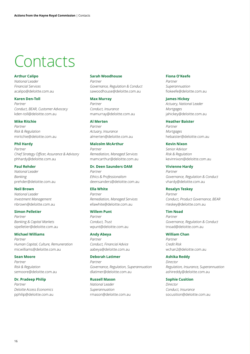## <span id="page-17-0"></span>**Contacts**

#### **Arthur Calipo**

*National Leader Financial Services*  acalipo@deloitte.com.au

#### **Karen Den-Toll**

*Partner Conduct, BEAR, Customer Advocacy* kden-toll@deloitte.com.au

#### **Mike Ritchie**

*Partner Risk & Regulation*  miritchie@deloitte.com.au

#### **Phil Hardy**

*Partner Chief Strategy Officer, Assurance & Advisory*  phhardy@deloitte.com.au

#### **Paul Rehder**

*National Leader Banking* prehder@deloitte.com.au

#### **Neil Brown**

*National Leader Investment Management* nbrown@deloitte.com.au

#### **Simon Pelletier**

*Partner Banking & Capital Markets* sipelletier@deloitte.com.au

**Michael Williams** *Partner Human Capital, Culture, Remuneration* micwilliams@deloitte.com.au

#### **Sean Moore**

*Partner Risk & Regulation*  semoore@deloitte.com.au

#### **Dr. Pradeep Philip**

*Partner Deloitte Access Economics* pphilip@deloitte.com.au

#### **Sarah Woodhouse**

*Partner Governance, Regulation & Conduct* sawoodhouse@deloitte.com.au

#### **Max Murray**

*Partner Conduct, Insurance* mamurray@deloitte.com.au

#### **Al Merten**

*Partner Actuary, Insurance* almerten@deloitte.com.au

#### **Malcolm McArthur**

*Partner Remediation, Managed Services* mamcarthur@deloitte.com.au

#### **Dr. Deen Saunders OAM**

*Partner Ethics & Professionalism* deensanders@deloitte.com.au

#### **Ella White**

*Partner Remediation, Managed Services* ellawhite@deloitte.com.au

#### **Willem Punt**

*Partner Conduct, Trust*  wpunt@deloitte.com.au

#### **Andy Abeya**

*Partner Conduct, Financial Advice* aabeya@deloitte.com.au

#### **Deborah Latimer**

*Partner Governance, Regulation, Superannuation*  dlatimer@deloitte.com.au

#### **Russell Mason**

*National Leader Superannuation* rmason@deloitte.com.au

#### **Fiona O'Keefe**

*Partner Superannuation* fiokeefe@deloitte.com.au

#### **James Hickey**

*Actuary, National Leader Mortgages*  jahickey@deloitte.com.au

#### **Heather Baister**

*Partner Mortgages*  hebaister@deloitte.com.au

#### **Kevin Nixon**

*Senior Advisor Risk & Regulation* kevinnixon@deloitte.com.au

#### **Vivienne Hardy**

*Partner Governance, Regulation & Conduct* vhardy@deloitte.com.au

#### **Rosalyn Teskey**

*Partner Conduct, Product Governance, BEAR* rteskey@deloitte.com.au

#### **Tim Noad**

*Partner Governance, Regulation & Conduct*  tnoad@deloitte.com.au

#### **William Chan**

*Partner Credit Risk* wchan2@deloitte.com.au

#### **Ashika Reddy**

*Director Regulation, Insurance, Superannuation* ashireddy@deloitte.com.au

#### **Sophie Cusition**

*Director Conduct, Insurance*  socusition@deloitte.com.au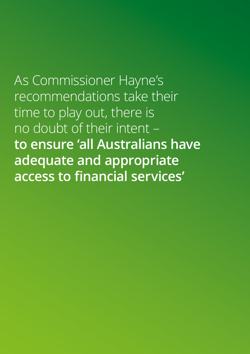As Commissioner Hayne's recommendations take their time to play out, there is no doubt of their intent – **to ensure 'all Australians have adequate and appropriate access to financial services'**